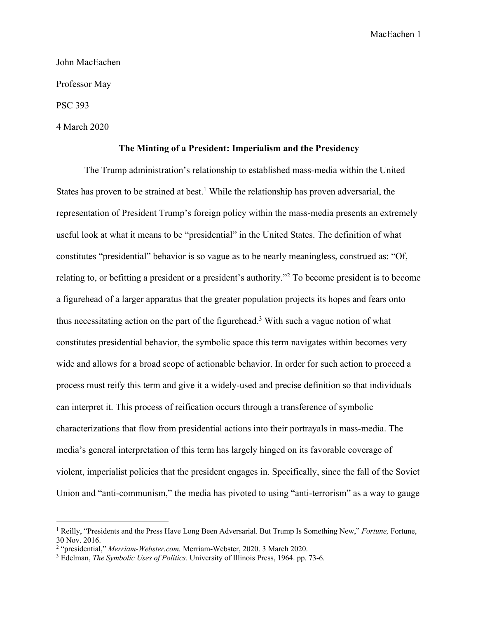John MacEachen

Professor May

PSC 393

4 March 2020

#### **The Minting of a President: Imperialism and the Presidency**

The Trump administration's relationship to established mass-media within the United States has proven to be strained at best.<sup>1</sup> While the relationship has proven adversarial, the representation of President Trump's foreign policy within the mass-media presents an extremely useful look at what it means to be "presidential" in the United States. The definition of what constitutes "presidential" behavior is so vague as to be nearly meaningless, construed as: "Of, relating to, or befitting a president or a president's authority."2 To become president is to become a figurehead of a larger apparatus that the greater population projects its hopes and fears onto thus necessitating action on the part of the figurehead. <sup>3</sup> With such a vague notion of what constitutes presidential behavior, the symbolic space this term navigates within becomes very wide and allows for a broad scope of actionable behavior. In order for such action to proceed a process must reify this term and give it a widely-used and precise definition so that individuals can interpret it. This process of reification occurs through a transference of symbolic characterizations that flow from presidential actions into their portrayals in mass-media. The media's general interpretation of this term has largely hinged on its favorable coverage of violent, imperialist policies that the president engages in. Specifically, since the fall of the Soviet Union and "anti-communism," the media has pivoted to using "anti-terrorism" as a way to gauge

<sup>1</sup> Reilly, "Presidents and the Press Have Long Been Adversarial. But Trump Is Something New," *Fortune,* Fortune, 30 Nov. 2016.

<sup>2</sup> "presidential," *Merriam-Webster.com.* Merriam-Webster, 2020. 3 March 2020.

<sup>3</sup> Edelman, *The Symbolic Uses of Politics.* University of Illinois Press, 1964. pp. 73-6.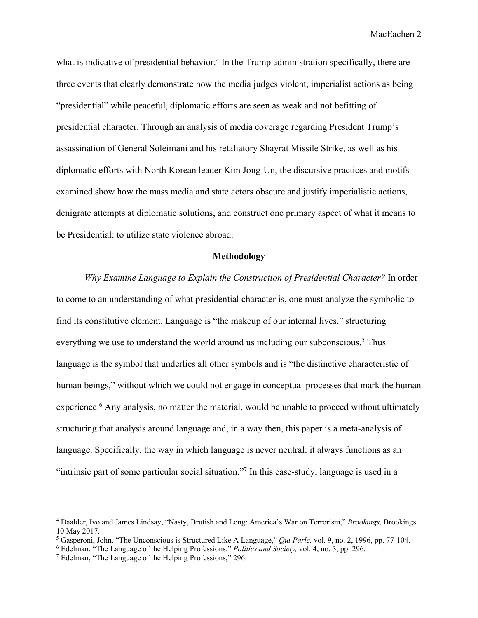what is indicative of presidential behavior.<sup>4</sup> In the Trump administration specifically, there are three events that clearly demonstrate how the media judges violent, imperialist actions as being "presidential" while peaceful, diplomatic efforts are seen as weak and not befitting of presidential character. Through an analysis of media coverage regarding President Trump's assassination of General Soleimani and his retaliatory Shayrat Missile Strike, as well as his diplomatic efforts with North Korean leader Kim Jong-Un, the discursive practices and motifs examined show how the mass media and state actors obscure and justify imperialistic actions, denigrate attempts at diplomatic solutions, and construct one primary aspect of what it means to be Presidential: to utilize state violence abroad.

# **Methodology**

*Why Examine Language to Explain the Construction of Presidential Character?* In order to come to an understanding of what presidential character is, one must analyze the symbolic to find its constitutive element. Language is "the makeup of our internal lives," structuring everything we use to understand the world around us including our subconscious.<sup>5</sup> Thus language is the symbol that underlies all other symbols and is "the distinctive characteristic of human beings," without which we could not engage in conceptual processes that mark the human experience.<sup>6</sup> Any analysis, no matter the material, would be unable to proceed without ultimately structuring that analysis around language and, in a way then, this paper is a meta-analysis of language. Specifically, the way in which language is never neutral: it always functions as an "intrinsic part of some particular social situation."7 In this case-study, language is used in a

<sup>4</sup> Daalder, Ivo and James Lindsay, "Nasty, Brutish and Long: America's War on Terrorism," *Brookings,* Brookings. 10 May 2017.

<sup>5</sup> Gasperoni, John. "The Unconscious is Structured Like A Language," *Qui Parle,* vol. 9, no. 2, 1996, pp. 77-104.

<sup>6</sup> Edelman, "The Language of the Helping Professions." *Politics and Society,* vol. 4, no. 3, pp. 296.

<sup>7</sup> Edelman, "The Language of the Helping Professions," 296.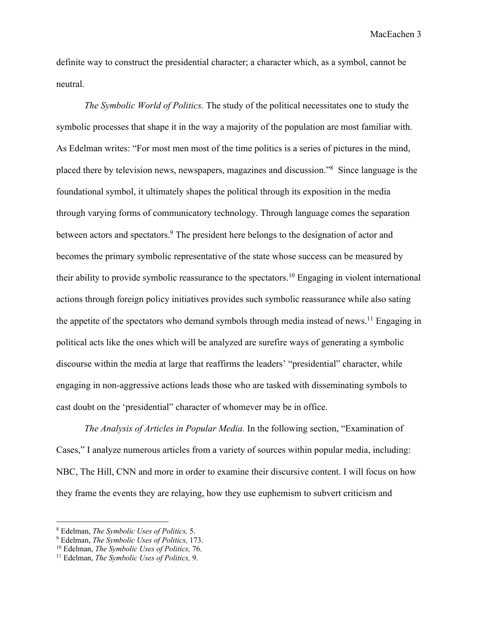definite way to construct the presidential character; a character which, as a symbol, cannot be neutral.

*The Symbolic World of Politics.* The study of the political necessitates one to study the symbolic processes that shape it in the way a majority of the population are most familiar with. As Edelman writes: "For most men most of the time politics is a series of pictures in the mind, placed there by television news, newspapers, magazines and discussion."8 Since language is the foundational symbol, it ultimately shapes the political through its exposition in the media through varying forms of communicatory technology. Through language comes the separation between actors and spectators.<sup>9</sup> The president here belongs to the designation of actor and becomes the primary symbolic representative of the state whose success can be measured by their ability to provide symbolic reassurance to the spectators.10 Engaging in violent international actions through foreign policy initiatives provides such symbolic reassurance while also sating the appetite of the spectators who demand symbols through media instead of news.<sup>11</sup> Engaging in political acts like the ones which will be analyzed are surefire ways of generating a symbolic discourse within the media at large that reaffirms the leaders' "presidential" character, while engaging in non-aggressive actions leads those who are tasked with disseminating symbols to cast doubt on the 'presidential" character of whomever may be in office.

*The Analysis of Articles in Popular Media.* In the following section, "Examination of Cases," I analyze numerous articles from a variety of sources within popular media, including: NBC, The Hill, CNN and more in order to examine their discursive content. I will focus on how they frame the events they are relaying, how they use euphemism to subvert criticism and

<sup>8</sup> Edelman, *The Symbolic Uses of Politics,* 5.

<sup>9</sup> Edelman, *The Symbolic Uses of Politics,* 173.

<sup>10</sup> Edelman, *The Symbolic Uses of Politics,* 76.

<sup>11</sup> Edelman, *The Symbolic Uses of Politics,* 9.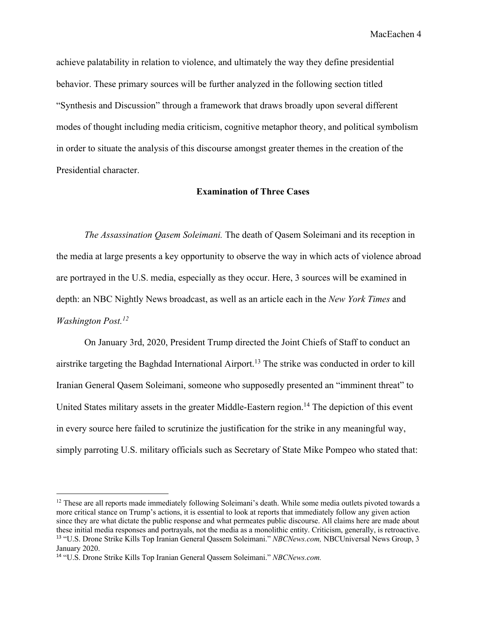achieve palatability in relation to violence, and ultimately the way they define presidential behavior. These primary sources will be further analyzed in the following section titled "Synthesis and Discussion" through a framework that draws broadly upon several different modes of thought including media criticism, cognitive metaphor theory, and political symbolism in order to situate the analysis of this discourse amongst greater themes in the creation of the Presidential character.

## **Examination of Three Cases**

*The Assassination Qasem Soleimani.* The death of Qasem Soleimani and its reception in the media at large presents a key opportunity to observe the way in which acts of violence abroad are portrayed in the U.S. media, especially as they occur. Here, 3 sources will be examined in depth: an NBC Nightly News broadcast, as well as an article each in the *New York Times* and *Washington Post. 12*

On January 3rd, 2020, President Trump directed the Joint Chiefs of Staff to conduct an airstrike targeting the Baghdad International Airport.<sup>13</sup> The strike was conducted in order to kill Iranian General Qasem Soleimani, someone who supposedly presented an "imminent threat" to United States military assets in the greater Middle-Eastern region.<sup>14</sup> The depiction of this event in every source here failed to scrutinize the justification for the strike in any meaningful way, simply parroting U.S. military officials such as Secretary of State Mike Pompeo who stated that:

<sup>&</sup>lt;sup>12</sup> These are all reports made immediately following Soleimani's death. While some media outlets pivoted towards a more critical stance on Trump's actions, it is essential to look at reports that immediately follow any given action since they are what dictate the public response and what permeates public discourse. All claims here are made about these initial media responses and portrayals, not the media as a monolithic entity. Criticism, generally, is retroactive. <sup>13</sup> "U.S. Drone Strike Kills Top Iranian General Qassem Soleimani." *NBCNews.com,* NBCUniversal News Group, 3 January 2020.

<sup>14</sup> "U.S. Drone Strike Kills Top Iranian General Qassem Soleimani." *NBCNews.com.*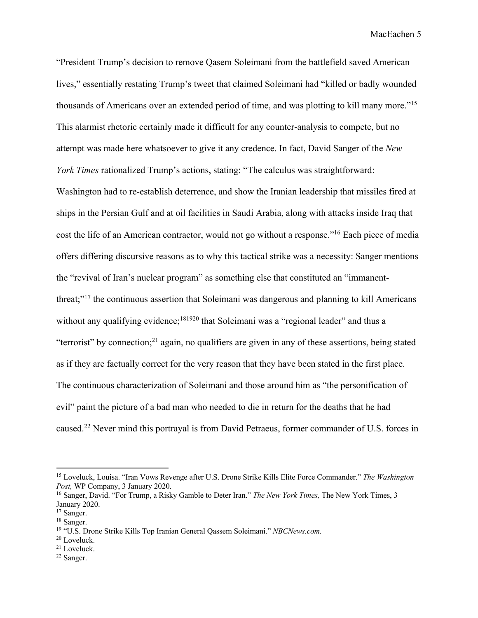"President Trump's decision to remove Qasem Soleimani from the battlefield saved American lives," essentially restating Trump's tweet that claimed Soleimani had "killed or badly wounded thousands of Americans over an extended period of time, and was plotting to kill many more."15 This alarmist rhetoric certainly made it difficult for any counter-analysis to compete, but no attempt was made here whatsoever to give it any credence. In fact, David Sanger of the *New York Times* rationalized Trump's actions, stating: "The calculus was straightforward:

Washington had to re-establish deterrence, and show the Iranian leadership that missiles fired at ships in the Persian Gulf and at oil facilities in Saudi Arabia, along with attacks inside Iraq that cost the life of an American contractor, would not go without a response."16 Each piece of media offers differing discursive reasons as to why this tactical strike was a necessity: Sanger mentions the "revival of Iran's nuclear program" as something else that constituted an "immanentthreat;"17 the continuous assertion that Soleimani was dangerous and planning to kill Americans without any qualifying evidence;<sup>181920</sup> that Soleimani was a "regional leader" and thus a "terrorist" by connection;<sup>21</sup> again, no qualifiers are given in any of these assertions, being stated as if they are factually correct for the very reason that they have been stated in the first place. The continuous characterization of Soleimani and those around him as "the personification of evil" paint the picture of a bad man who needed to die in return for the deaths that he had caused.22 Never mind this portrayal is from David Petraeus, former commander of U.S. forces in

- <sup>21</sup> Loveluck.
- <sup>22</sup> Sanger.

<sup>15</sup> Loveluck, Louisa. "Iran Vows Revenge after U.S. Drone Strike Kills Elite Force Commander." *The Washington Post,* WP Company, 3 January 2020.

<sup>16</sup> Sanger, David. "For Trump, a Risky Gamble to Deter Iran." *The New York Times,* The New York Times, 3 January 2020.

<sup>&</sup>lt;sup>17</sup> Sanger.

<sup>&</sup>lt;sup>18</sup> Sanger.

<sup>19</sup> "U.S. Drone Strike Kills Top Iranian General Qassem Soleimani." *NBCNews.com.*

<sup>20</sup> Loveluck.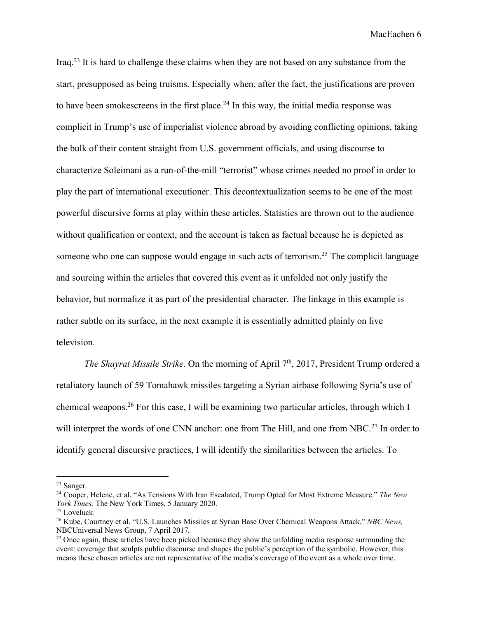Iraq.23 It is hard to challenge these claims when they are not based on any substance from the start, presupposed as being truisms. Especially when, after the fact, the justifications are proven to have been smokescreens in the first place.<sup>24</sup> In this way, the initial media response was complicit in Trump's use of imperialist violence abroad by avoiding conflicting opinions, taking the bulk of their content straight from U.S. government officials, and using discourse to characterize Soleimani as a run-of-the-mill "terrorist" whose crimes needed no proof in order to play the part of international executioner. This decontextualization seems to be one of the most powerful discursive forms at play within these articles. Statistics are thrown out to the audience without qualification or context, and the account is taken as factual because he is depicted as someone who one can suppose would engage in such acts of terrorism.<sup>25</sup> The complicit language and sourcing within the articles that covered this event as it unfolded not only justify the behavior, but normalize it as part of the presidential character. The linkage in this example is rather subtle on its surface, in the next example it is essentially admitted plainly on live television.

*The Shayrat Missile Strike.* On the morning of April 7<sup>th</sup>, 2017, President Trump ordered a retaliatory launch of 59 Tomahawk missiles targeting a Syrian airbase following Syria's use of chemical weapons.26 For this case, I will be examining two particular articles, through which I will interpret the words of one CNN anchor: one from The Hill, and one from NBC.<sup>27</sup> In order to identify general discursive practices, I will identify the similarities between the articles. To

<sup>23</sup> Sanger.

<sup>24</sup> Cooper, Helene, et al. "As Tensions With Iran Escalated, Trump Opted for Most Extreme Measure." *The New York Times,* The New York Times, 5 January 2020.

<sup>25</sup> Loveluck.

<sup>26</sup> Kube, Courtney et al. "U.S. Launches Missiles at Syrian Base Over Chemical Weapons Attack," *NBC News,*  NBCUniversal News Group, 7 April 2017*.*

<sup>&</sup>lt;sup>27</sup> Once again, these articles have been picked because they show the unfolding media response surrounding the event: coverage that sculpts public discourse and shapes the public's perception of the symbolic. However, this means these chosen articles are not representative of the media's coverage of the event as a whole over time.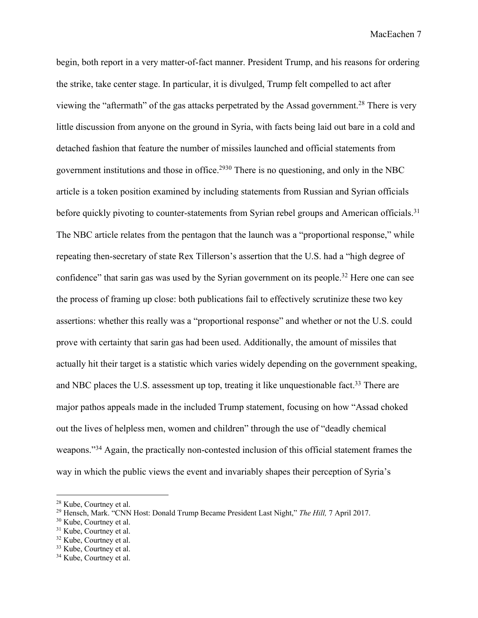begin, both report in a very matter-of-fact manner. President Trump, and his reasons for ordering the strike, take center stage. In particular, it is divulged, Trump felt compelled to act after viewing the "aftermath" of the gas attacks perpetrated by the Assad government.28 There is very little discussion from anyone on the ground in Syria, with facts being laid out bare in a cold and detached fashion that feature the number of missiles launched and official statements from government institutions and those in office.2930 There is no questioning, and only in the NBC article is a token position examined by including statements from Russian and Syrian officials before quickly pivoting to counter-statements from Syrian rebel groups and American officials.<sup>31</sup> The NBC article relates from the pentagon that the launch was a "proportional response," while repeating then-secretary of state Rex Tillerson's assertion that the U.S. had a "high degree of confidence" that sarin gas was used by the Syrian government on its people.<sup>32</sup> Here one can see the process of framing up close: both publications fail to effectively scrutinize these two key assertions: whether this really was a "proportional response" and whether or not the U.S. could prove with certainty that sarin gas had been used. Additionally, the amount of missiles that actually hit their target is a statistic which varies widely depending on the government speaking, and NBC places the U.S. assessment up top, treating it like unquestionable fact.<sup>33</sup> There are major pathos appeals made in the included Trump statement, focusing on how "Assad choked out the lives of helpless men, women and children" through the use of "deadly chemical weapons."34 Again, the practically non-contested inclusion of this official statement frames the way in which the public views the event and invariably shapes their perception of Syria's

<sup>28</sup> Kube, Courtney et al.

<sup>29</sup> Hensch, Mark. "CNN Host: Donald Trump Became President Last Night," *The Hill,* 7 April 2017.

 $30$  Kube, Courtney et al.<br> $31$  Kube, Courtney et al.

<sup>32</sup> Kube, Courtney et al.

 $33$  Kube, Courtney et al.<br> $34$  Kube, Courtney et al.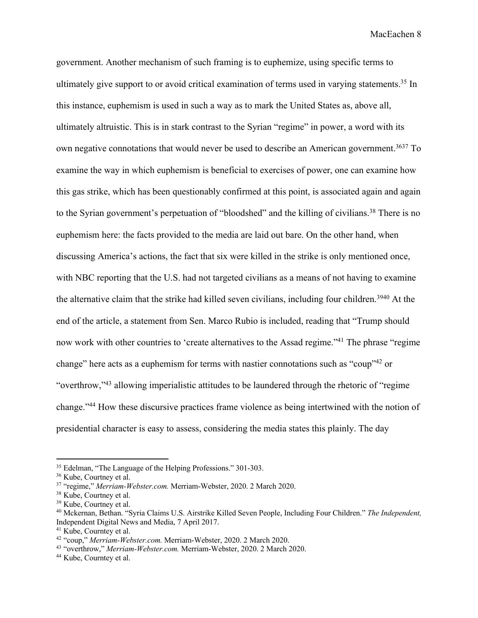government. Another mechanism of such framing is to euphemize, using specific terms to ultimately give support to or avoid critical examination of terms used in varying statements.<sup>35</sup> In this instance, euphemism is used in such a way as to mark the United States as, above all, ultimately altruistic. This is in stark contrast to the Syrian "regime" in power, a word with its own negative connotations that would never be used to describe an American government.<sup>3637</sup> To examine the way in which euphemism is beneficial to exercises of power, one can examine how this gas strike, which has been questionably confirmed at this point, is associated again and again to the Syrian government's perpetuation of "bloodshed" and the killing of civilians.38 There is no euphemism here: the facts provided to the media are laid out bare. On the other hand, when discussing America's actions, the fact that six were killed in the strike is only mentioned once, with NBC reporting that the U.S. had not targeted civilians as a means of not having to examine the alternative claim that the strike had killed seven civilians, including four children.<sup>3940</sup> At the end of the article, a statement from Sen. Marco Rubio is included, reading that "Trump should now work with other countries to 'create alternatives to the Assad regime."<sup>41</sup> The phrase "regime change" here acts as a euphemism for terms with nastier connotations such as "coup"42 or "overthrow,"43 allowing imperialistic attitudes to be laundered through the rhetoric of "regime change."44 How these discursive practices frame violence as being intertwined with the notion of presidential character is easy to assess, considering the media states this plainly. The day

<sup>35</sup> Edelman, "The Language of the Helping Professions." 301-303.

<sup>&</sup>lt;sup>36</sup> Kube, Courtney et al.

<sup>37</sup> "regime," *Merriam-Webster.com.* Merriam-Webster, 2020. 2 March 2020.

<sup>&</sup>lt;sup>38</sup> Kube, Courtney et al.<br><sup>39</sup> Kube, Courtney et al.<br><sup>40</sup> Mckernan, Bethan. "Syria Claims U.S. Airstrike Killed Seven People, Including Four Children." *The Independent*, Independent Digital News and Media, 7 April 2017.

<sup>41</sup> Kube, Courntey et al. 42 "coup," *Merriam-Webster.com.* Merriam-Webster, 2020. 2 March 2020. 43 "overthrow," *Merriam-Webster.com.* Merriam-Webster, 2020. 2 March 2020.

<sup>44</sup> Kube, Courntey et al.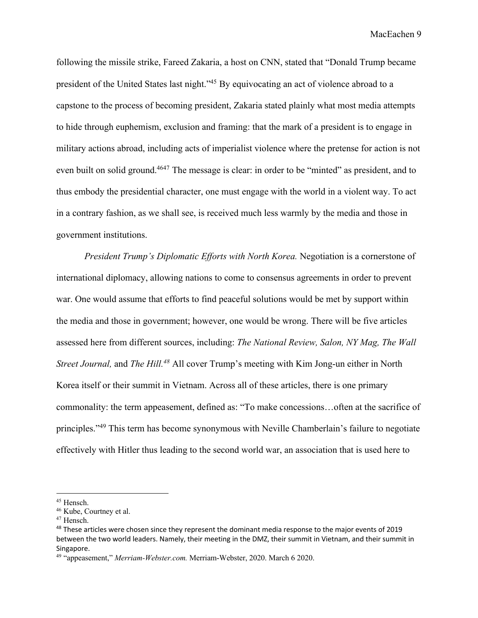following the missile strike, Fareed Zakaria, a host on CNN, stated that "Donald Trump became president of the United States last night."45 By equivocating an act of violence abroad to a capstone to the process of becoming president, Zakaria stated plainly what most media attempts to hide through euphemism, exclusion and framing: that the mark of a president is to engage in military actions abroad, including acts of imperialist violence where the pretense for action is not even built on solid ground.<sup>4647</sup> The message is clear: in order to be "minted" as president, and to thus embody the presidential character, one must engage with the world in a violent way. To act in a contrary fashion, as we shall see, is received much less warmly by the media and those in government institutions.

*President Trump's Diplomatic Efforts with North Korea.* Negotiation is a cornerstone of international diplomacy, allowing nations to come to consensus agreements in order to prevent war. One would assume that efforts to find peaceful solutions would be met by support within the media and those in government; however, one would be wrong. There will be five articles assessed here from different sources, including: *The National Review, Salon, NY Mag, The Wall Street Journal,* and *The Hill.48* All cover Trump's meeting with Kim Jong-un either in North Korea itself or their summit in Vietnam. Across all of these articles, there is one primary commonality: the term appeasement, defined as: "To make concessions…often at the sacrifice of principles."<sup>49</sup> This term has become synonymous with Neville Chamberlain's failure to negotiate effectively with Hitler thus leading to the second world war, an association that is used here to

<sup>45</sup> Hensch.

 $46$  Kube, Courtney et al.<br> $47$  Hensch.

<sup>&</sup>lt;sup>48</sup> These articles were chosen since they represent the dominant media response to the major events of 2019 between the two world leaders. Namely, their meeting in the DMZ, their summit in Vietnam, and their summit in Singapore.

<sup>49</sup> "appeasement," *Merriam-Webster.com.* Merriam-Webster, 2020. March 6 2020.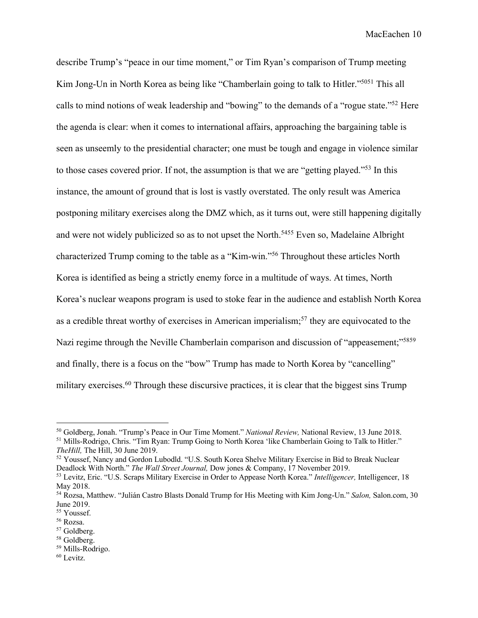describe Trump's "peace in our time moment," or Tim Ryan's comparison of Trump meeting Kim Jong-Un in North Korea as being like "Chamberlain going to talk to Hitler."<sup>5051</sup> This all calls to mind notions of weak leadership and "bowing" to the demands of a "rogue state."52 Here the agenda is clear: when it comes to international affairs, approaching the bargaining table is seen as unseemly to the presidential character; one must be tough and engage in violence similar to those cases covered prior. If not, the assumption is that we are "getting played."53 In this instance, the amount of ground that is lost is vastly overstated. The only result was America postponing military exercises along the DMZ which, as it turns out, were still happening digitally and were not widely publicized so as to not upset the North.<sup>5455</sup> Even so, Madelaine Albright characterized Trump coming to the table as a "Kim-win."56 Throughout these articles North Korea is identified as being a strictly enemy force in a multitude of ways. At times, North Korea's nuclear weapons program is used to stoke fear in the audience and establish North Korea as a credible threat worthy of exercises in American imperialism;<sup>57</sup> they are equivocated to the Nazi regime through the Neville Chamberlain comparison and discussion of "appeasement;"<sup>5859</sup> and finally, there is a focus on the "bow" Trump has made to North Korea by "cancelling" military exercises.<sup>60</sup> Through these discursive practices, it is clear that the biggest sins Trump

<sup>50</sup> Goldberg, Jonah. "Trump's Peace in Our Time Moment." *National Review,* National Review, 13 June 2018. <sup>51</sup> Mills-Rodrigo, Chris. "Tim Ryan: Trump Going to North Korea 'like Chamberlain Going to Talk to Hitler." *TheHill,* The Hill, 30 June 2019.

<sup>52</sup> Youssef, Nancy and Gordon Lubodld. "U.S. South Korea Shelve Military Exercise in Bid to Break Nuclear Deadlock With North." *The Wall Street Journal,* Dow jones & Company, 17 November 2019.

<sup>53</sup> Levitz, Eric. "U.S. Scraps Military Exercise in Order to Appease North Korea." *Intelligencer,* Intelligencer, 18 May 2018.

<sup>54</sup> Rozsa, Matthew. "Julián Castro Blasts Donald Trump for His Meeting with Kim Jong-Un." *Salon,* Salon.com, 30 June 2019.

<sup>&</sup>lt;sup>55</sup> Youssef.

<sup>56</sup> Rozsa.

<sup>&</sup>lt;sup>57</sup> Goldberg.

<sup>58</sup> Goldberg. <sup>59</sup> Mills-Rodrigo.

<sup>60</sup> Levitz.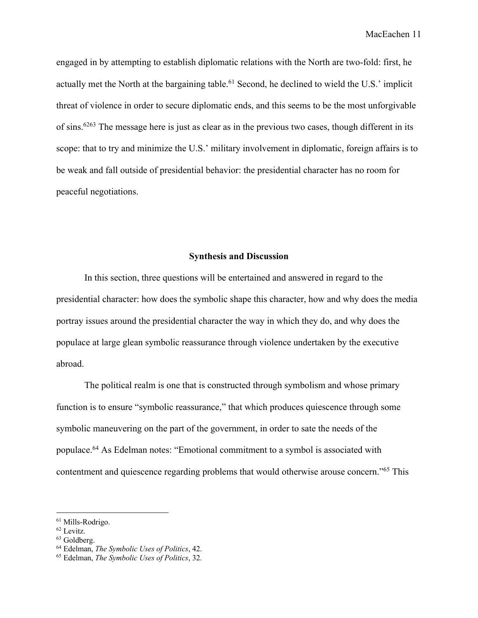engaged in by attempting to establish diplomatic relations with the North are two-fold: first, he actually met the North at the bargaining table.<sup>61</sup> Second, he declined to wield the U.S.' implicit threat of violence in order to secure diplomatic ends, and this seems to be the most unforgivable of sins.6263 The message here is just as clear as in the previous two cases, though different in its scope: that to try and minimize the U.S.' military involvement in diplomatic, foreign affairs is to be weak and fall outside of presidential behavior: the presidential character has no room for peaceful negotiations.

# **Synthesis and Discussion**

In this section, three questions will be entertained and answered in regard to the presidential character: how does the symbolic shape this character, how and why does the media portray issues around the presidential character the way in which they do, and why does the populace at large glean symbolic reassurance through violence undertaken by the executive abroad.

The political realm is one that is constructed through symbolism and whose primary function is to ensure "symbolic reassurance," that which produces quiescence through some symbolic maneuvering on the part of the government, in order to sate the needs of the populace.64 As Edelman notes: "Emotional commitment to a symbol is associated with contentment and quiescence regarding problems that would otherwise arouse concern."65 This

<sup>61</sup> Mills-Rodrigo.

<sup>62</sup> Levitz.

<sup>63</sup> Goldberg.

<sup>64</sup> Edelman, *The Symbolic Uses of Politics*, 42.

<sup>65</sup> Edelman, *The Symbolic Uses of Politics*, 32.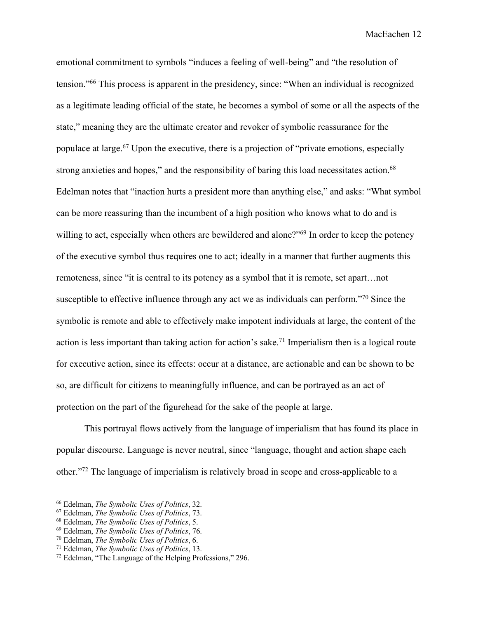emotional commitment to symbols "induces a feeling of well-being" and "the resolution of tension."66 This process is apparent in the presidency, since: "When an individual is recognized as a legitimate leading official of the state, he becomes a symbol of some or all the aspects of the state," meaning they are the ultimate creator and revoker of symbolic reassurance for the populace at large.<sup>67</sup> Upon the executive, there is a projection of "private emotions, especially strong anxieties and hopes," and the responsibility of baring this load necessitates action.<sup>68</sup> Edelman notes that "inaction hurts a president more than anything else," and asks: "What symbol can be more reassuring than the incumbent of a high position who knows what to do and is willing to act, especially when others are bewildered and alone?"<sup>69</sup> In order to keep the potency of the executive symbol thus requires one to act; ideally in a manner that further augments this remoteness, since "it is central to its potency as a symbol that it is remote, set apart…not susceptible to effective influence through any act we as individuals can perform."<sup>70</sup> Since the symbolic is remote and able to effectively make impotent individuals at large, the content of the action is less important than taking action for action's sake.<sup>71</sup> Imperialism then is a logical route for executive action, since its effects: occur at a distance, are actionable and can be shown to be so, are difficult for citizens to meaningfully influence, and can be portrayed as an act of protection on the part of the figurehead for the sake of the people at large.

This portrayal flows actively from the language of imperialism that has found its place in popular discourse. Language is never neutral, since "language, thought and action shape each other."72 The language of imperialism is relatively broad in scope and cross-applicable to a

<sup>66</sup> Edelman, *The Symbolic Uses of Politics*, 32.

<sup>67</sup> Edelman, *The Symbolic Uses of Politics*, 73.

<sup>68</sup> Edelman, *The Symbolic Uses of Politics*, 5.

<sup>69</sup> Edelman, *The Symbolic Uses of Politics*, 76.

<sup>70</sup> Edelman, *The Symbolic Uses of Politics*, 6.

<sup>71</sup> Edelman, *The Symbolic Uses of Politics*, 13.

<sup>72</sup> Edelman, "The Language of the Helping Professions," 296.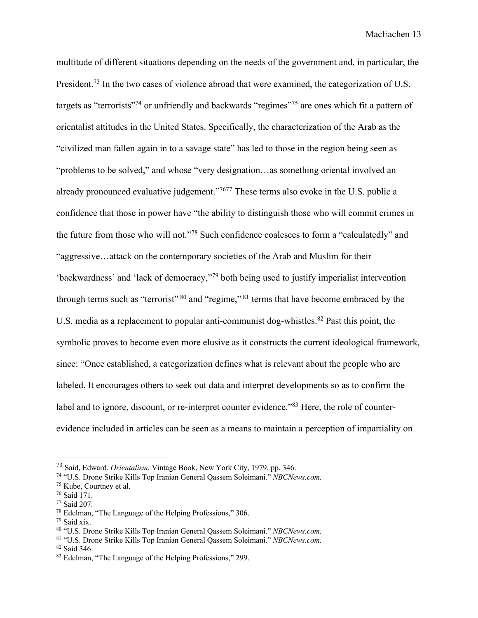multitude of different situations depending on the needs of the government and, in particular, the President.<sup>73</sup> In the two cases of violence abroad that were examined, the categorization of U.S. targets as "terrorists"<sup>74</sup> or unfriendly and backwards "regimes"<sup>75</sup> are ones which fit a pattern of orientalist attitudes in the United States. Specifically, the characterization of the Arab as the "civilized man fallen again in to a savage state" has led to those in the region being seen as "problems to be solved," and whose "very designation…as something oriental involved an already pronounced evaluative judgement."7677 These terms also evoke in the U.S. public a confidence that those in power have "the ability to distinguish those who will commit crimes in the future from those who will not."78 Such confidence coalesces to form a "calculatedly" and "aggressive…attack on the contemporary societies of the Arab and Muslim for their 'backwardness' and 'lack of democracy,"79 both being used to justify imperialist intervention through terms such as "terrorist"  $80$  and "regime,"  $81$  terms that have become embraced by the U.S. media as a replacement to popular anti-communist dog-whistles.<sup>82</sup> Past this point, the symbolic proves to become even more elusive as it constructs the current ideological framework, since: "Once established, a categorization defines what is relevant about the people who are labeled. It encourages others to seek out data and interpret developments so as to confirm the label and to ignore, discount, or re-interpret counter evidence."<sup>83</sup> Here, the role of counterevidence included in articles can be seen as a means to maintain a perception of impartiality on

<sup>73</sup> Said, Edward. *Orientalism.* Vintage Book, New York City, 1979, pp. 346.

<sup>74</sup> "U.S. Drone Strike Kills Top Iranian General Qassem Soleimani." *NBCNews.com.*

<sup>75</sup> Kube, Courtney et al.

<sup>76</sup> Said 171.

<sup>77</sup> Said 207.

<sup>78</sup> Edelman, "The Language of the Helping Professions," 306.

 $79$  Said xix.

<sup>80</sup> "U.S. Drone Strike Kills Top Iranian General Qassem Soleimani." *NBCNews.com.*

<sup>81</sup> "U.S. Drone Strike Kills Top Iranian General Qassem Soleimani." *NBCNews.com.*

<sup>82</sup> Said 346.

<sup>83</sup> Edelman, "The Language of the Helping Professions," 299.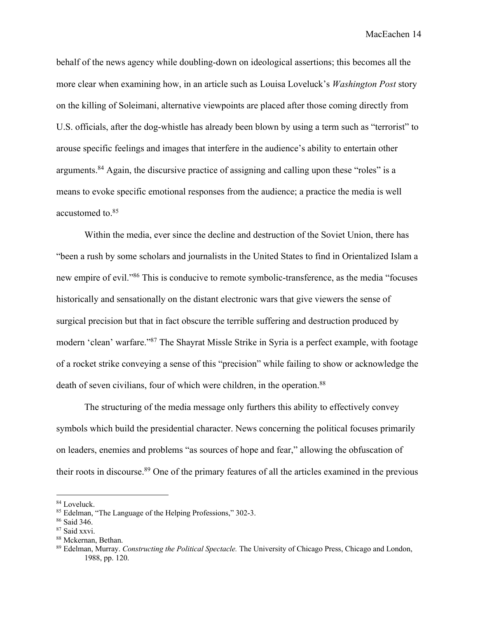behalf of the news agency while doubling-down on ideological assertions; this becomes all the more clear when examining how, in an article such as Louisa Loveluck's *Washington Post* story on the killing of Soleimani, alternative viewpoints are placed after those coming directly from U.S. officials, after the dog-whistle has already been blown by using a term such as "terrorist" to arouse specific feelings and images that interfere in the audience's ability to entertain other arguments.84 Again, the discursive practice of assigning and calling upon these "roles" is a means to evoke specific emotional responses from the audience; a practice the media is well accustomed to. 85

Within the media, ever since the decline and destruction of the Soviet Union, there has "been a rush by some scholars and journalists in the United States to find in Orientalized Islam a new empire of evil."86 This is conducive to remote symbolic-transference, as the media "focuses historically and sensationally on the distant electronic wars that give viewers the sense of surgical precision but that in fact obscure the terrible suffering and destruction produced by modern 'clean' warfare."87 The Shayrat Missle Strike in Syria is a perfect example, with footage of a rocket strike conveying a sense of this "precision" while failing to show or acknowledge the death of seven civilians, four of which were children, in the operation.<sup>88</sup>

The structuring of the media message only furthers this ability to effectively convey symbols which build the presidential character. News concerning the political focuses primarily on leaders, enemies and problems "as sources of hope and fear," allowing the obfuscation of their roots in discourse.89 One of the primary features of all the articles examined in the previous

<sup>84</sup> Loveluck.

<sup>85</sup> Edelman, "The Language of the Helping Professions," 302-3.

<sup>86</sup> Said 346.

<sup>87</sup> Said xxvi.

<sup>88</sup> Mckernan, Bethan.

<sup>89</sup> Edelman, Murray. *Constructing the Political Spectacle.* The University of Chicago Press, Chicago and London, 1988, pp. 120.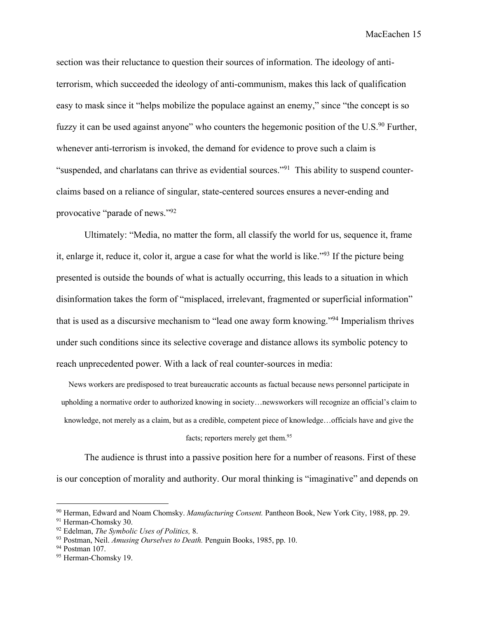section was their reluctance to question their sources of information. The ideology of antiterrorism, which succeeded the ideology of anti-communism, makes this lack of qualification easy to mask since it "helps mobilize the populace against an enemy," since "the concept is so fuzzy it can be used against anyone" who counters the hegemonic position of the U.S.<sup>90</sup> Further, whenever anti-terrorism is invoked, the demand for evidence to prove such a claim is "suspended, and charlatans can thrive as evidential sources."91 This ability to suspend counterclaims based on a reliance of singular, state-centered sources ensures a never-ending and provocative "parade of news."92

Ultimately: "Media, no matter the form, all classify the world for us, sequence it, frame it, enlarge it, reduce it, color it, argue a case for what the world is like."93 If the picture being presented is outside the bounds of what is actually occurring, this leads to a situation in which disinformation takes the form of "misplaced, irrelevant, fragmented or superficial information" that is used as a discursive mechanism to "lead one away form knowing."94 Imperialism thrives under such conditions since its selective coverage and distance allows its symbolic potency to reach unprecedented power. With a lack of real counter-sources in media:

News workers are predisposed to treat bureaucratic accounts as factual because news personnel participate in upholding a normative order to authorized knowing in society…newsworkers will recognize an official's claim to knowledge, not merely as a claim, but as a credible, competent piece of knowledge…officials have and give the facts; reporters merely get them.<sup>95</sup>

The audience is thrust into a passive position here for a number of reasons. First of these is our conception of morality and authority. Our moral thinking is "imaginative" and depends on

<sup>90</sup> Herman, Edward and Noam Chomsky. *Manufacturing Consent.* Pantheon Book, New York City, 1988, pp. 29.

<sup>91</sup> Herman-Chomsky 30.

<sup>92</sup> Edelman, *The Symbolic Uses of Politics,* 8.

<sup>93</sup> Postman, Neil. *Amusing Ourselves to Death.* Penguin Books, 1985, pp. 10.

<sup>&</sup>lt;sup>94</sup> Postman 107.

<sup>95</sup> Herman-Chomsky 19.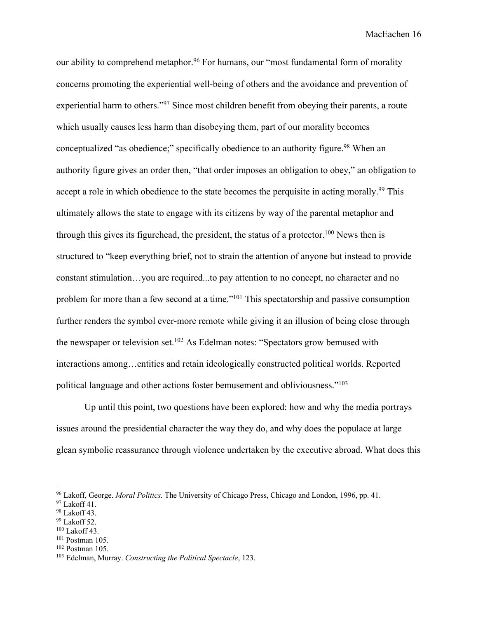our ability to comprehend metaphor.<sup>96</sup> For humans, our "most fundamental form of morality concerns promoting the experiential well-being of others and the avoidance and prevention of experiential harm to others."<sup>97</sup> Since most children benefit from obeying their parents, a route which usually causes less harm than disobeying them, part of our morality becomes conceptualized "as obedience;" specifically obedience to an authority figure.<sup>98</sup> When an authority figure gives an order then, "that order imposes an obligation to obey," an obligation to accept a role in which obedience to the state becomes the perquisite in acting morally.<sup>99</sup> This ultimately allows the state to engage with its citizens by way of the parental metaphor and through this gives its figurehead, the president, the status of a protector.<sup>100</sup> News then is structured to "keep everything brief, not to strain the attention of anyone but instead to provide constant stimulation…you are required...to pay attention to no concept, no character and no problem for more than a few second at a time."101 This spectatorship and passive consumption further renders the symbol ever-more remote while giving it an illusion of being close through the newspaper or television set.<sup>102</sup> As Edelman notes: "Spectators grow bemused with interactions among…entities and retain ideologically constructed political worlds. Reported political language and other actions foster bemusement and obliviousness."103

Up until this point, two questions have been explored: how and why the media portrays issues around the presidential character the way they do, and why does the populace at large glean symbolic reassurance through violence undertaken by the executive abroad. What does this

<sup>102</sup> Postman 105.

<sup>96</sup> Lakoff, George. *Moral Politics.* The University of Chicago Press, Chicago and London, 1996, pp. 41.

<sup>97</sup> Lakoff 41.

<sup>98</sup> Lakoff 43.

 $99$  Lakoff 52.

 $100$  Lakoff 43.

<sup>101</sup> Postman 105.

<sup>103</sup> Edelman, Murray. *Constructing the Political Spectacle*, 123.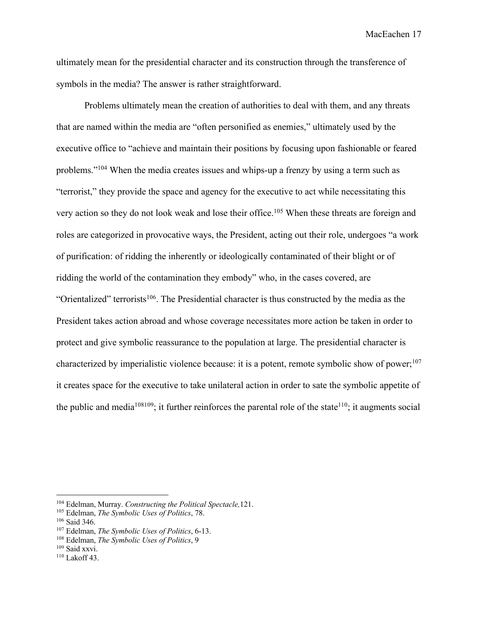ultimately mean for the presidential character and its construction through the transference of symbols in the media? The answer is rather straightforward.

Problems ultimately mean the creation of authorities to deal with them, and any threats that are named within the media are "often personified as enemies," ultimately used by the executive office to "achieve and maintain their positions by focusing upon fashionable or feared problems."104 When the media creates issues and whips-up a frenzy by using a term such as "terrorist," they provide the space and agency for the executive to act while necessitating this very action so they do not look weak and lose their office.<sup>105</sup> When these threats are foreign and roles are categorized in provocative ways, the President, acting out their role, undergoes "a work of purification: of ridding the inherently or ideologically contaminated of their blight or of ridding the world of the contamination they embody" who, in the cases covered, are "Orientalized" terrorists<sup>106</sup>. The Presidential character is thus constructed by the media as the President takes action abroad and whose coverage necessitates more action be taken in order to protect and give symbolic reassurance to the population at large. The presidential character is characterized by imperialistic violence because: it is a potent, remote symbolic show of power:<sup>107</sup> it creates space for the executive to take unilateral action in order to sate the symbolic appetite of the public and media<sup>108109</sup>; it further reinforces the parental role of the state<sup>110</sup>; it augments social

<sup>104</sup> Edelman, Murray. *Constructing the Political Spectacle,*121.

<sup>105</sup> Edelman, *The Symbolic Uses of Politics*, 78.

<sup>106</sup> Said 346.

<sup>107</sup> Edelman, *The Symbolic Uses of Politics*, 6-13.

<sup>108</sup> Edelman, *The Symbolic Uses of Politics*, 9

<sup>109</sup> Said xxvi.

<sup>110</sup> Lakoff 43.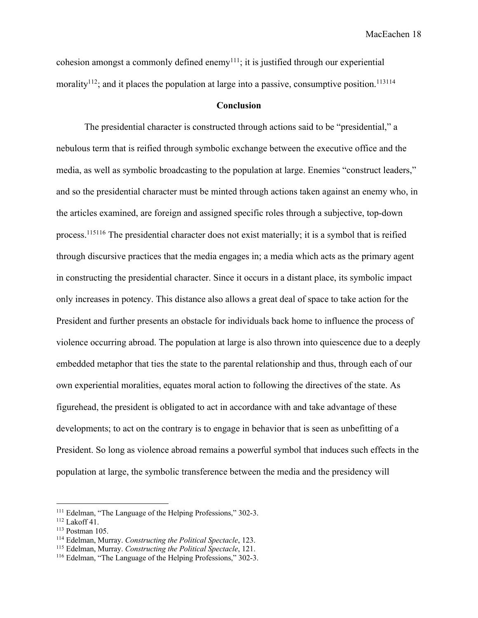cohesion amongst a commonly defined enemy<sup>111</sup>; it is justified through our experiential morality<sup>112</sup>; and it places the population at large into a passive, consumptive position.<sup>113114</sup>

## **Conclusion**

The presidential character is constructed through actions said to be "presidential," a nebulous term that is reified through symbolic exchange between the executive office and the media, as well as symbolic broadcasting to the population at large. Enemies "construct leaders," and so the presidential character must be minted through actions taken against an enemy who, in the articles examined, are foreign and assigned specific roles through a subjective, top-down process.115116 The presidential character does not exist materially; it is a symbol that is reified through discursive practices that the media engages in; a media which acts as the primary agent in constructing the presidential character. Since it occurs in a distant place, its symbolic impact only increases in potency. This distance also allows a great deal of space to take action for the President and further presents an obstacle for individuals back home to influence the process of violence occurring abroad. The population at large is also thrown into quiescence due to a deeply embedded metaphor that ties the state to the parental relationship and thus, through each of our own experiential moralities, equates moral action to following the directives of the state. As figurehead, the president is obligated to act in accordance with and take advantage of these developments; to act on the contrary is to engage in behavior that is seen as unbefitting of a President. So long as violence abroad remains a powerful symbol that induces such effects in the population at large, the symbolic transference between the media and the presidency will

<sup>111</sup> Edelman, "The Language of the Helping Professions," 302-3.

 $112$  Lakoff 41.

<sup>113</sup> Postman 105.

<sup>114</sup> Edelman, Murray. *Constructing the Political Spectacle*, 123.

<sup>115</sup> Edelman, Murray. *Constructing the Political Spectacle*, 121.

<sup>116</sup> Edelman, "The Language of the Helping Professions," 302-3.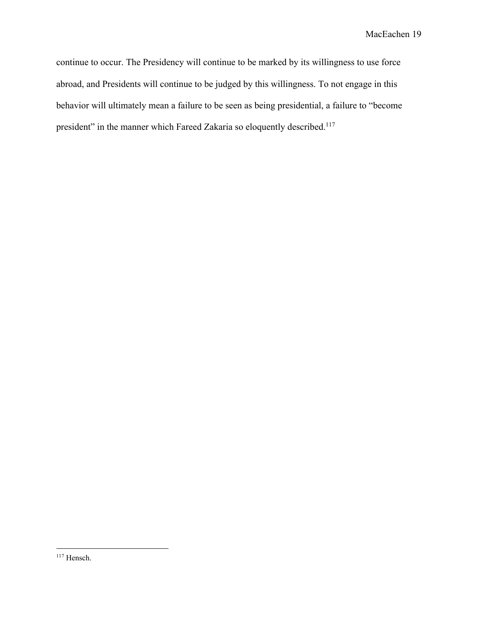continue to occur. The Presidency will continue to be marked by its willingness to use force abroad, and Presidents will continue to be judged by this willingness. To not engage in this behavior will ultimately mean a failure to be seen as being presidential, a failure to "become president" in the manner which Fareed Zakaria so eloquently described.<sup>117</sup>

<sup>117</sup> Hensch.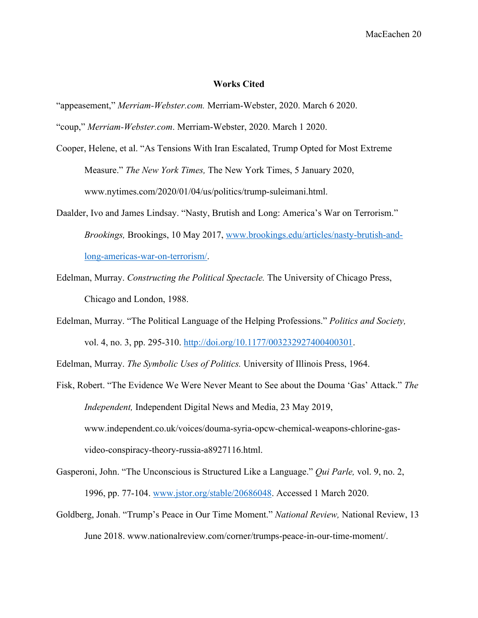#### **Works Cited**

"appeasement," *Merriam-Webster.com.* Merriam-Webster, 2020. March 6 2020.

"coup," *Merriam-Webster.com*. Merriam-Webster, 2020. March 1 2020.

- Cooper, Helene, et al. "As Tensions With Iran Escalated, Trump Opted for Most Extreme Measure." *The New York Times,* The New York Times, 5 January 2020, www.nytimes.com/2020/01/04/us/politics/trump-suleimani.html.
- Daalder, Ivo and James Lindsay. "Nasty, Brutish and Long: America's War on Terrorism." *Brookings,* Brookings, 10 May 2017, www.brookings.edu/articles/nasty-brutish-andlong-americas-war-on-terrorism/.
- Edelman, Murray. *Constructing the Political Spectacle.* The University of Chicago Press, Chicago and London, 1988.
- Edelman, Murray. "The Political Language of the Helping Professions." *Politics and Society,*  vol. 4, no. 3, pp. 295-310. http://doi.org/10.1177/003232927400400301.

Edelman, Murray. *The Symbolic Uses of Politics.* University of Illinois Press, 1964.

- Fisk, Robert. "The Evidence We Were Never Meant to See about the Douma 'Gas' Attack." *The Independent,* Independent Digital News and Media, 23 May 2019, www.independent.co.uk/voices/douma-syria-opcw-chemical-weapons-chlorine-gasvideo-conspiracy-theory-russia-a8927116.html.
- Gasperoni, John. "The Unconscious is Structured Like a Language." *Qui Parle,* vol. 9, no. 2, 1996, pp. 77-104. www.jstor.org/stable/20686048. Accessed 1 March 2020.
- Goldberg, Jonah. "Trump's Peace in Our Time Moment." *National Review,* National Review, 13 June 2018. www.nationalreview.com/corner/trumps-peace-in-our-time-moment/.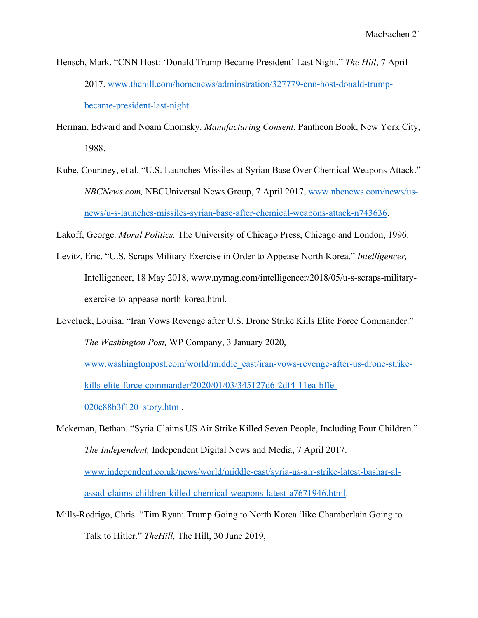- Hensch, Mark. "CNN Host: 'Donald Trump Became President' Last Night." *The Hill*, 7 April 2017. www.thehill.com/homenews/adminstration/327779-cnn-host-donald-trumpbecame-president-last-night.
- Herman, Edward and Noam Chomsky. *Manufacturing Consent.* Pantheon Book, New York City, 1988.
- Kube, Courtney, et al. "U.S. Launches Missiles at Syrian Base Over Chemical Weapons Attack." *NBCNews.com,* NBCUniversal News Group, 7 April 2017, www.nbcnews.com/news/usnews/u-s-launches-missiles-syrian-base-after-chemical-weapons-attack-n743636.

Lakoff, George. *Moral Politics.* The University of Chicago Press, Chicago and London, 1996.

- Levitz, Eric. "U.S. Scraps Military Exercise in Order to Appease North Korea." *Intelligencer,*  Intelligencer, 18 May 2018, www.nymag.com/intelligencer/2018/05/u-s-scraps-militaryexercise-to-appease-north-korea.html.
- Loveluck, Louisa. "Iran Vows Revenge after U.S. Drone Strike Kills Elite Force Commander." *The Washington Post,* WP Company, 3 January 2020, www.washingtonpost.com/world/middle\_east/iran-vows-revenge-after-us-drone-strikekills-elite-force-commander/2020/01/03/345127d6-2df4-11ea-bffe-020c88b3f120\_story.html.
- Mckernan, Bethan. "Syria Claims US Air Strike Killed Seven People, Including Four Children." *The Independent,* Independent Digital News and Media, 7 April 2017. www.independent.co.uk/news/world/middle-east/syria-us-air-strike-latest-bashar-alassad-claims-children-killed-chemical-weapons-latest-a7671946.html.
- Mills-Rodrigo, Chris. "Tim Ryan: Trump Going to North Korea 'like Chamberlain Going to Talk to Hitler." *TheHill,* The Hill, 30 June 2019,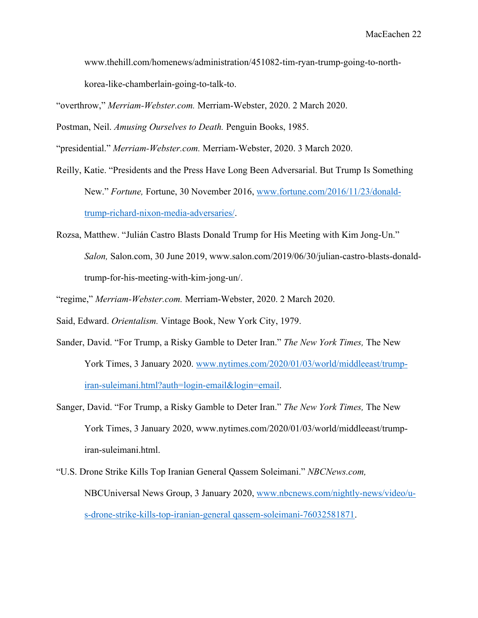www.thehill.com/homenews/administration/451082-tim-ryan-trump-going-to-northkorea-like-chamberlain-going-to-talk-to.

"overthrow," *Merriam-Webster.com.* Merriam-Webster, 2020. 2 March 2020.

Postman, Neil. *Amusing Ourselves to Death.* Penguin Books, 1985.

"presidential." *Merriam-Webster.com.* Merriam-Webster, 2020. 3 March 2020.

- Reilly, Katie. "Presidents and the Press Have Long Been Adversarial. But Trump Is Something New." *Fortune,* Fortune, 30 November 2016, www.fortune.com/2016/11/23/donaldtrump-richard-nixon-media-adversaries/.
- Rozsa, Matthew. "Julián Castro Blasts Donald Trump for His Meeting with Kim Jong-Un." *Salon,* Salon.com, 30 June 2019, www.salon.com/2019/06/30/julian-castro-blasts-donaldtrump-for-his-meeting-with-kim-jong-un/.
- "regime," *Merriam-Webster.com.* Merriam-Webster, 2020. 2 March 2020.
- Said, Edward. *Orientalism.* Vintage Book, New York City, 1979.
- Sander, David. "For Trump, a Risky Gamble to Deter Iran." *The New York Times,* The New York Times, 3 January 2020. www.nytimes.com/2020/01/03/world/middleeast/trumpiran-suleimani.html?auth=login-email&login=email.
- Sanger, David. "For Trump, a Risky Gamble to Deter Iran." *The New York Times,* The New York Times, 3 January 2020, www.nytimes.com/2020/01/03/world/middleeast/trumpiran-suleimani.html.

"U.S. Drone Strike Kills Top Iranian General Qassem Soleimani." *NBCNews.com,*  NBCUniversal News Group, 3 January 2020, www.nbcnews.com/nightly-news/video/us-drone-strike-kills-top-iranian-general qassem-soleimani-76032581871.